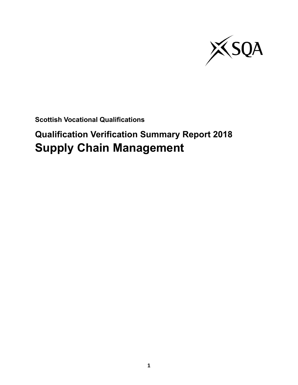

**Scottish Vocational Qualifications**

# **Qualification Verification Summary Report 2018 Supply Chain Management**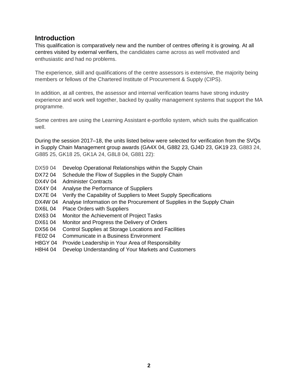### **Introduction**

This qualification is comparatively new and the number of centres offering it is growing. At all centres visited by external verifiers, the candidates came across as well motivated and enthusiastic and had no problems.

The experience, skill and qualifications of the centre assessors is extensive, the majority being members or fellows of the Chartered Institute of Procurement & Supply (CIPS).

In addition, at all centres, the assessor and internal verification teams have strong industry experience and work well together, backed by quality management systems that support the MA programme.

Some centres are using the Learning Assistant e-portfolio system, which suits the qualification well.

During the session 2017–18, the units listed below were selected for verification from the SVQs in Supply Chain Management group awards (GA4X 04, G882 23, GJ4D 23, GK19 23, G883 24, G885 25, GK18 25, GK1A 24, G8L8 04, G881 22):

- DX59 04 Develop Operational Relationships within the Supply Chain
- DX72 04 Schedule the Flow of Supplies in the Supply Chain
- DX4V 04 Administer Contracts
- DX4Y 04 Analyse the Performance of Suppliers
- DX7E 04 Verify the Capability of Suppliers to Meet Supply Specifications
- DX4W 04 Analyse Information on the Procurement of Supplies in the Supply Chain
- DX6L 04 Place Orders with Suppliers
- DX63 04 Monitor the Achievement of Project Tasks
- DX61 04 Monitor and Progress the Delivery of Orders
- DX56 04 Control Supplies at Storage Locations and Facilities
- FE02 04 Communicate in a Business Environment
- H8GY 04 Provide Leadership in Your Area of Responsibility
- H8H4 04 Develop Understanding of Your Markets and Customers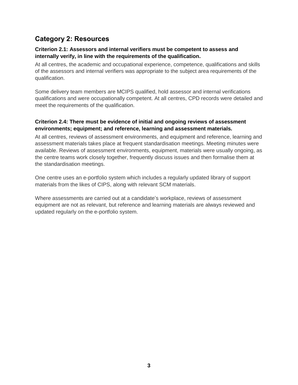## **Category 2: Resources**

#### **Criterion 2.1: Assessors and internal verifiers must be competent to assess and internally verify, in line with the requirements of the qualification.**

At all centres, the academic and occupational experience, competence, qualifications and skills of the assessors and internal verifiers was appropriate to the subject area requirements of the qualification.

Some delivery team members are MCIPS qualified, hold assessor and internal verifications qualifications and were occupationally competent. At all centres, CPD records were detailed and meet the requirements of the qualification.

#### **Criterion 2.4: There must be evidence of initial and ongoing reviews of assessment environments; equipment; and reference, learning and assessment materials.**

At all centres, reviews of assessment environments, and equipment and reference, learning and assessment materials takes place at frequent standardisation meetings. Meeting minutes were available. Reviews of assessment environments, equipment, materials were usually ongoing, as the centre teams work closely together, frequently discuss issues and then formalise them at the standardisation meetings.

One centre uses an e-portfolio system which includes a regularly updated library of support materials from the likes of CIPS, along with relevant SCM materials.

Where assessments are carried out at a candidate's workplace, reviews of assessment equipment are not as relevant, but reference and learning materials are always reviewed and updated regularly on the e-portfolio system.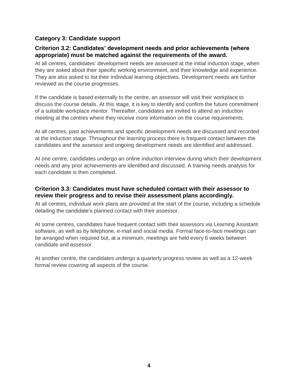#### **Category 3: Candidate support**

#### **Criterion 3.2: Candidates' development needs and prior achievements (where appropriate) must be matched against the requirements of the award.**

At all centres, candidates' development needs are assessed at the initial induction stage, when they are asked about their specific working environment, and their knowledge and experience. They are also asked to list their individual learning objectives. Development needs are further reviewed as the course progresses.

If the candidate is based externally to the centre, an assessor will visit their workplace to discuss the course details. At this stage, it is key to identify and confirm the future commitment of a suitable workplace mentor. Thereafter, candidates are invited to attend an induction meeting at the centres where they receive more information on the course requirements.

At all centres, past achievements and specific development needs are discussed and recorded at the induction stage. Throughout the learning process there is frequent contact between the candidates and the assessor and ongoing development needs are identified and addressed.

At one centre, candidates undergo an online induction interview during which their development needs and any prior achievements are identified and discussed. A training needs analysis for each candidate is then completed.

#### **Criterion 3.3: Candidates must have scheduled contact with their assessor to review their progress and to revise their assessment plans accordingly.**

At all centres, individual work plans are provided at the start of the course, including a schedule detailing the candidate's planned contact with their assessor.

At some centres, candidates have frequent contact with their assessors via Learning Assistant software, as well as by telephone, e-mail and social media. Formal face-to-face meetings can be arranged when required but, at a minimum, meetings are held every 6 weeks between candidate and assessor.

At another centre, the candidates undergo a quarterly progress review as well as a 12-week formal review covering all aspects of the course.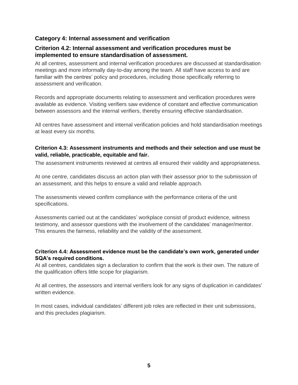#### **Category 4: Internal assessment and verification**

#### **Criterion 4.2: Internal assessment and verification procedures must be implemented to ensure standardisation of assessment.**

At all centres, assessment and internal verification procedures are discussed at standardisation meetings and more informally day-to-day among the team. All staff have access to and are familiar with the centres' policy and procedures, including those specifically referring to assessment and verification.

Records and appropriate documents relating to assessment and verification procedures were available as evidence. Visiting verifiers saw evidence of constant and effective communication between assessors and the internal verifiers, thereby ensuring effective standardisation.

All centres have assessment and internal verification policies and hold standardisation meetings at least every six months.

#### **Criterion 4.3: Assessment instruments and methods and their selection and use must be valid, reliable, practicable, equitable and fair.**

The assessment instruments reviewed at centres all ensured their validity and appropriateness.

At one centre, candidates discuss an action plan with their assessor prior to the submission of an assessment, and this helps to ensure a valid and reliable approach.

The assessments viewed confirm compliance with the performance criteria of the unit specifications.

Assessments carried out at the candidates' workplace consist of product evidence, witness testimony, and assessor questions with the involvement of the candidates' manager/mentor. This ensures the fairness, reliability and the validity of the assessment.

#### **Criterion 4.4: Assessment evidence must be the candidate's own work, generated under SQA's required conditions.**

At all centres, candidates sign a declaration to confirm that the work is their own. The nature of the qualification offers little scope for plagiarism.

At all centres, the assessors and internal verifiers look for any signs of duplication in candidates' written evidence.

In most cases, individual candidates' different job roles are reflected in their unit submissions, and this precludes plagiarism.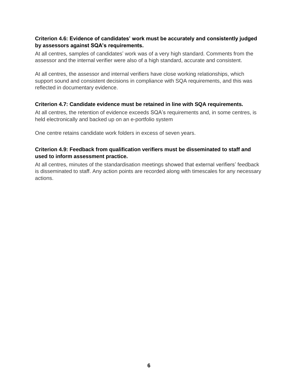#### **Criterion 4.6: Evidence of candidates' work must be accurately and consistently judged by assessors against SQA's requirements.**

At all centres, samples of candidates' work was of a very high standard. Comments from the assessor and the internal verifier were also of a high standard, accurate and consistent.

At all centres, the assessor and internal verifiers have close working relationships, which support sound and consistent decisions in compliance with SQA requirements, and this was reflected in documentary evidence.

#### **Criterion 4.7: Candidate evidence must be retained in line with SQA requirements.**

At all centres, the retention of evidence exceeds SQA's requirements and, in some centres, is held electronically and backed up on an e-portfolio system

One centre retains candidate work folders in excess of seven years.

#### **Criterion 4.9: Feedback from qualification verifiers must be disseminated to staff and used to inform assessment practice.**

At all centres, minutes of the standardisation meetings showed that external verifiers' feedback is disseminated to staff. Any action points are recorded along with timescales for any necessary actions.